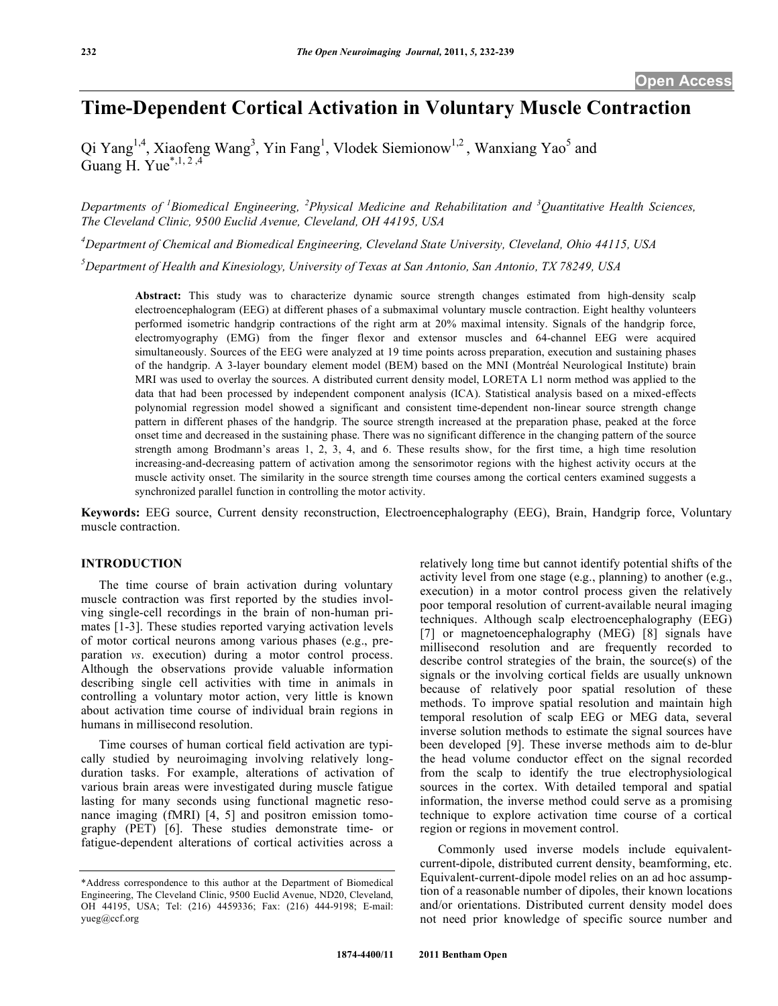# **Time-Dependent Cortical Activation in Voluntary Muscle Contraction**

Qi Yang<sup>1,4</sup>, Xiaofeng Wang<sup>3</sup>, Yin Fang<sup>1</sup>, Vlodek Siemionow<sup>1,2</sup>, Wanxiang Yao<sup>5</sup> and Guang H. Yue $^{*,1,2,4}$ 

*Departments of <sup>1</sup> Biomedical Engineering, <sup>2</sup> Physical Medicine and Rehabilitation and <sup>3</sup> Quantitative Health Sciences, The Cleveland Clinic, 9500 Euclid Avenue, Cleveland, OH 44195, USA*

*4 Department of Chemical and Biomedical Engineering, Cleveland State University, Cleveland, Ohio 44115, USA*

*5 Department of Health and Kinesiology, University of Texas at San Antonio, San Antonio, TX 78249, USA*

**Abstract:** This study was to characterize dynamic source strength changes estimated from high-density scalp electroencephalogram (EEG) at different phases of a submaximal voluntary muscle contraction. Eight healthy volunteers performed isometric handgrip contractions of the right arm at 20% maximal intensity. Signals of the handgrip force, electromyography (EMG) from the finger flexor and extensor muscles and 64-channel EEG were acquired simultaneously. Sources of the EEG were analyzed at 19 time points across preparation, execution and sustaining phases of the handgrip. A 3-layer boundary element model (BEM) based on the MNI (Montréal Neurological Institute) brain MRI was used to overlay the sources. A distributed current density model, LORETA L1 norm method was applied to the data that had been processed by independent component analysis (ICA). Statistical analysis based on a mixed-effects polynomial regression model showed a significant and consistent time-dependent non-linear source strength change pattern in different phases of the handgrip. The source strength increased at the preparation phase, peaked at the force onset time and decreased in the sustaining phase. There was no significant difference in the changing pattern of the source strength among Brodmann's areas 1, 2, 3, 4, and 6. These results show, for the first time, a high time resolution increasing-and-decreasing pattern of activation among the sensorimotor regions with the highest activity occurs at the muscle activity onset. The similarity in the source strength time courses among the cortical centers examined suggests a synchronized parallel function in controlling the motor activity.

**Keywords:** EEG source, Current density reconstruction, Electroencephalography (EEG), Brain, Handgrip force, Voluntary muscle contraction.

#### **INTRODUCTION**

The time course of brain activation during voluntary muscle contraction was first reported by the studies involving single-cell recordings in the brain of non-human primates [1-3]. These studies reported varying activation levels of motor cortical neurons among various phases (e.g., preparation *vs*. execution) during a motor control process. Although the observations provide valuable information describing single cell activities with time in animals in controlling a voluntary motor action, very little is known about activation time course of individual brain regions in humans in millisecond resolution.

Time courses of human cortical field activation are typically studied by neuroimaging involving relatively longduration tasks. For example, alterations of activation of various brain areas were investigated during muscle fatigue lasting for many seconds using functional magnetic resonance imaging (fMRI) [4, 5] and positron emission tomography (PET) [6]. These studies demonstrate time- or fatigue-dependent alterations of cortical activities across a

relatively long time but cannot identify potential shifts of the activity level from one stage (e.g., planning) to another (e.g., execution) in a motor control process given the relatively poor temporal resolution of current-available neural imaging techniques. Although scalp electroencephalography (EEG) [7] or magnetoencephalography (MEG) [8] signals have millisecond resolution and are frequently recorded to describe control strategies of the brain, the source(s) of the signals or the involving cortical fields are usually unknown because of relatively poor spatial resolution of these methods. To improve spatial resolution and maintain high temporal resolution of scalp EEG or MEG data, several inverse solution methods to estimate the signal sources have been developed [9]. These inverse methods aim to de-blur the head volume conductor effect on the signal recorded from the scalp to identify the true electrophysiological sources in the cortex. With detailed temporal and spatial information, the inverse method could serve as a promising technique to explore activation time course of a cortical region or regions in movement control.

Commonly used inverse models include equivalentcurrent-dipole, distributed current density, beamforming, etc. Equivalent-current-dipole model relies on an ad hoc assumption of a reasonable number of dipoles, their known locations and/or orientations. Distributed current density model does not need prior knowledge of specific source number and

<sup>\*</sup>Address correspondence to this author at the Department of Biomedical Engineering, The Cleveland Clinic, 9500 Euclid Avenue, ND20, Cleveland, OH 44195, USA; Tel: (216) 4459336; Fax: (216) 444-9198; E-mail: yueg@ccf.org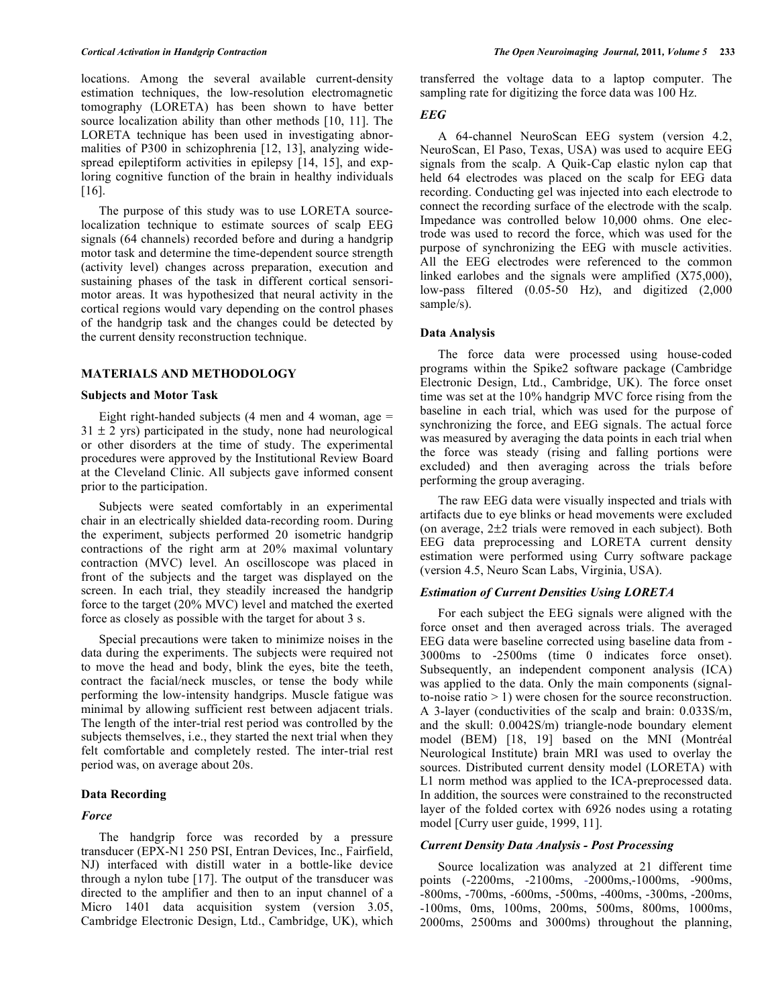locations. Among the several available current-density estimation techniques, the low-resolution electromagnetic tomography (LORETA) has been shown to have better source localization ability than other methods [10, 11]. The LORETA technique has been used in investigating abnormalities of P300 in schizophrenia [12, 13], analyzing widespread epileptiform activities in epilepsy [14, 15], and exploring cognitive function of the brain in healthy individuals [16].

The purpose of this study was to use LORETA sourcelocalization technique to estimate sources of scalp EEG signals (64 channels) recorded before and during a handgrip motor task and determine the time-dependent source strength (activity level) changes across preparation, execution and sustaining phases of the task in different cortical sensorimotor areas. It was hypothesized that neural activity in the cortical regions would vary depending on the control phases of the handgrip task and the changes could be detected by the current density reconstruction technique.

#### **MATERIALS AND METHODOLOGY**

#### **Subjects and Motor Task**

Eight right-handed subjects  $(4 \text{ men and } 4 \text{ woman}, \text{age} =$  $31 \pm 2$  yrs) participated in the study, none had neurological or other disorders at the time of study. The experimental procedures were approved by the Institutional Review Board at the Cleveland Clinic. All subjects gave informed consent prior to the participation.

Subjects were seated comfortably in an experimental chair in an electrically shielded data-recording room. During the experiment, subjects performed 20 isometric handgrip contractions of the right arm at 20% maximal voluntary contraction (MVC) level. An oscilloscope was placed in front of the subjects and the target was displayed on the screen. In each trial, they steadily increased the handgrip force to the target (20% MVC) level and matched the exerted force as closely as possible with the target for about 3 s.

Special precautions were taken to minimize noises in the data during the experiments. The subjects were required not to move the head and body, blink the eyes, bite the teeth, contract the facial/neck muscles, or tense the body while performing the low-intensity handgrips. Muscle fatigue was minimal by allowing sufficient rest between adjacent trials. The length of the inter-trial rest period was controlled by the subjects themselves, i.e., they started the next trial when they felt comfortable and completely rested. The inter-trial rest period was, on average about 20s.

#### **Data Recording**

#### *Force*

The handgrip force was recorded by a pressure transducer (EPX-N1 250 PSI, Entran Devices, Inc., Fairfield, NJ) interfaced with distill water in a bottle-like device through a nylon tube [17]. The output of the transducer was directed to the amplifier and then to an input channel of a Micro 1401 data acquisition system (version 3.05, Cambridge Electronic Design, Ltd., Cambridge, UK), which

transferred the voltage data to a laptop computer. The sampling rate for digitizing the force data was 100 Hz.

## *EEG*

A 64-channel NeuroScan EEG system (version 4.2, NeuroScan, El Paso, Texas, USA) was used to acquire EEG signals from the scalp. A Quik-Cap elastic nylon cap that held 64 electrodes was placed on the scalp for EEG data recording. Conducting gel was injected into each electrode to connect the recording surface of the electrode with the scalp. Impedance was controlled below 10,000 ohms. One electrode was used to record the force, which was used for the purpose of synchronizing the EEG with muscle activities. All the EEG electrodes were referenced to the common linked earlobes and the signals were amplified (X75,000), low-pass filtered (0.05-50 Hz), and digitized (2,000 sample/s).

# **Data Analysis**

The force data were processed using house-coded programs within the Spike2 software package (Cambridge Electronic Design, Ltd., Cambridge, UK). The force onset time was set at the 10% handgrip MVC force rising from the baseline in each trial, which was used for the purpose of synchronizing the force, and EEG signals. The actual force was measured by averaging the data points in each trial when the force was steady (rising and falling portions were excluded) and then averaging across the trials before performing the group averaging.

The raw EEG data were visually inspected and trials with artifacts due to eye blinks or head movements were excluded (on average, 2±2 trials were removed in each subject). Both EEG data preprocessing and LORETA current density estimation were performed using Curry software package (version 4.5, Neuro Scan Labs, Virginia, USA).

#### *Estimation of Current Densities Using LORETA*

For each subject the EEG signals were aligned with the force onset and then averaged across trials. The averaged EEG data were baseline corrected using baseline data from - 3000ms to -2500ms (time 0 indicates force onset). Subsequently, an independent component analysis (ICA) was applied to the data. Only the main components (signalto-noise ratio > 1) were chosen for the source reconstruction. A 3-layer (conductivities of the scalp and brain: 0.033S/m, and the skull: 0.0042S/m) triangle-node boundary element model (BEM) [18, 19] based on the MNI (Montréal Neurological Institute) brain MRI was used to overlay the sources. Distributed current density model (LORETA) with L1 norm method was applied to the ICA-preprocessed data. In addition, the sources were constrained to the reconstructed layer of the folded cortex with 6926 nodes using a rotating model [Curry user guide, 1999, 11].

#### *Current Density Data Analysis - Post Processing*

Source localization was analyzed at 21 different time points (-2200ms, -2100ms, -2000ms,-1000ms, -900ms, -800ms, -700ms, -600ms, -500ms, -400ms, -300ms, -200ms, -100ms, 0ms, 100ms, 200ms, 500ms, 800ms, 1000ms, 2000ms, 2500ms and 3000ms) throughout the planning,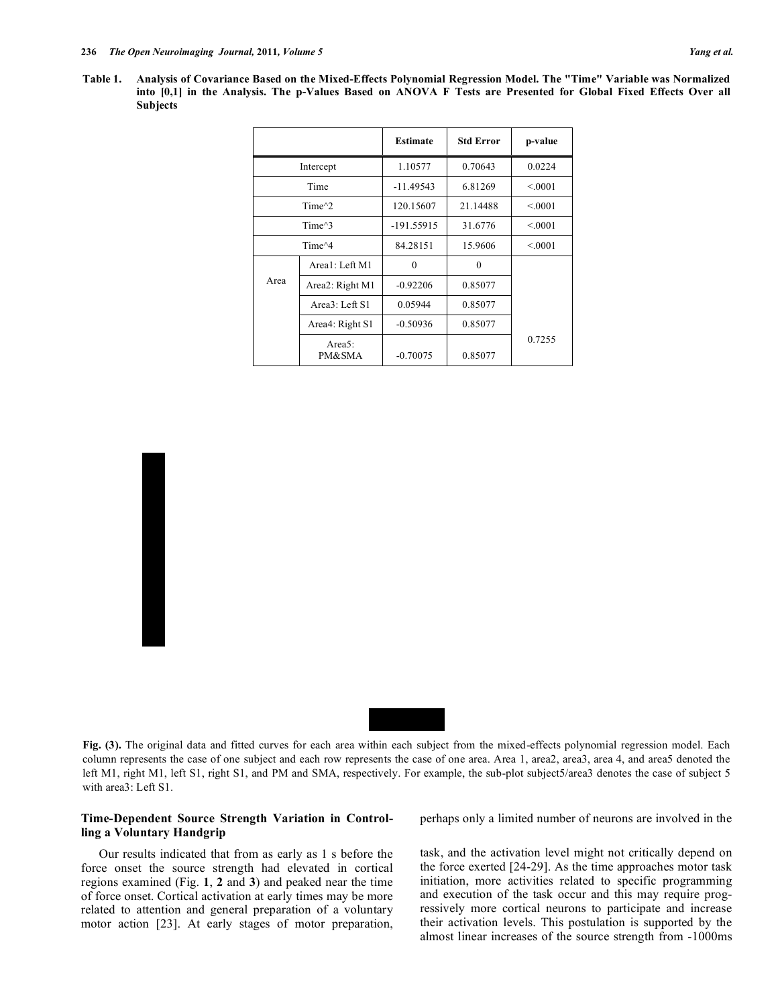| Yang et al. |  |  |
|-------------|--|--|
|-------------|--|--|

| Table 1. Analysis of Covariance Based on the Mixed-Effects Polynomial Regression Model. The "Time" Variable was Normalized |
|----------------------------------------------------------------------------------------------------------------------------|
| into [0,1] in the Analysis. The p-Values Based on ANOVA F Tests are Presented for Global Fixed Effects Over all            |
| <b>Subjects</b>                                                                                                            |

|                   |                                | <b>Estimate</b> | <b>Std Error</b> | p-value |
|-------------------|--------------------------------|-----------------|------------------|---------|
|                   | Intercept                      | 1.10577         | 0.70643          | 0.0224  |
| Time              |                                | $-11.49543$     | 6.81269          | < 0.001 |
|                   | Time $^{\wedge}2$              | 120.15607       | 21.14488         | < 0.001 |
| Time $^{\wedge}3$ |                                | $-191.55915$    | 31.6776          | < 0.001 |
|                   | Time <sup><math>4</math></sup> | 84.28151        | 15.9606          | < 0.001 |
|                   | Area1: Left M1                 | $\theta$        | $\theta$         |         |
| Area              | Area2: Right M1                | $-0.92206$      | 0.85077          |         |
|                   | Area3: Left S1                 | 0.05944         | 0.85077          |         |
|                   | Area4: Right S1                | $-0.50936$      | 0.85077          |         |
|                   | Area $5$ :<br>PM&SMA           | $-0.70075$      | 0.85077          | 0.7255  |

# Normalized Current Density Normalized Current Density

### Time (ms)

Fig. (3). The original data and fitted curves for each area within each subject from the mixed-effects polynomial regression model. Each column represents the case of one subject and each row represents the case of one area. Area 1, area2, area3, area 4, and area5 denoted the left M1, right M1, left S1, right S1, and PM and SMA, respectively. For example, the sub-plot subject5/area3 denotes the case of subject 5 with area3: Left S1.

#### **Time-Dependent Source Strength Variation in Controlling a Voluntary Handgrip**

Our results indicated that from as early as 1 s before the force onset the source strength had elevated in cortical regions examined (Fig. **1**, **2** and **3**) and peaked near the time of force onset. Cortical activation at early times may be more related to attention and general preparation of a voluntary motor action [23]. At early stages of motor preparation, perhaps only a limited number of neurons are involved in the

task, and the activation level might not critically depend on the force exerted [24-29]. As the time approaches motor task initiation, more activities related to specific programming and execution of the task occur and this may require progressively more cortical neurons to participate and increase their activation levels. This postulation is supported by the almost linear increases of the source strength from -1000ms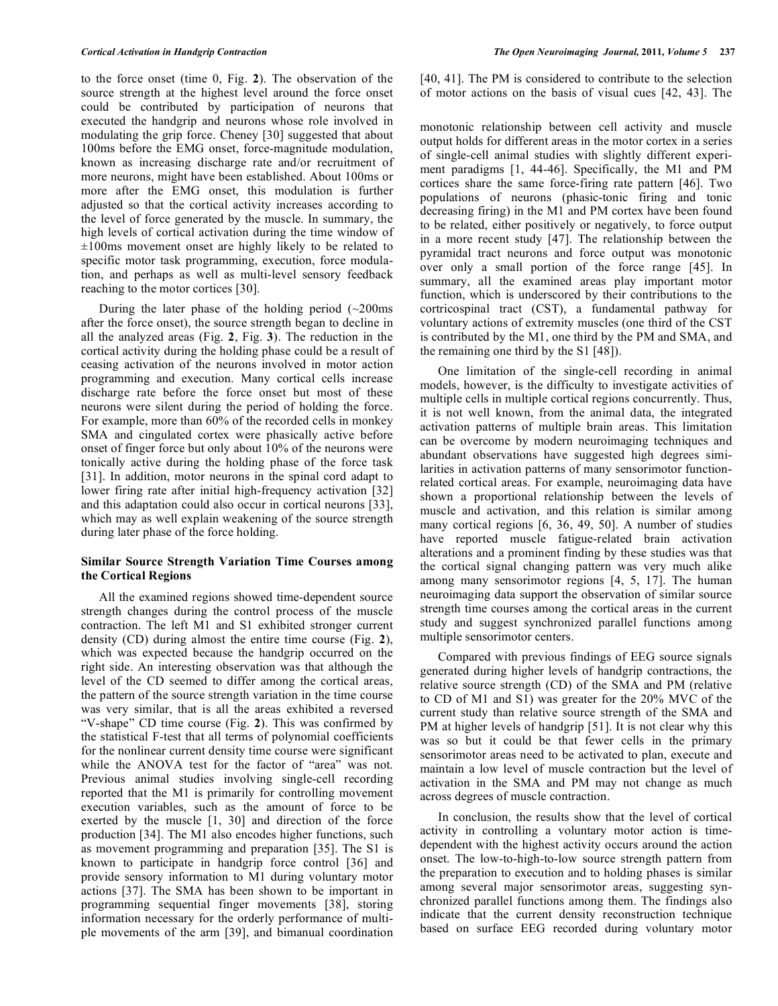to the force onset (time 0, Fig. **2**). The observation of the source strength at the highest level around the force onset could be contributed by participation of neurons that executed the handgrip and neurons whose role involved in modulating the grip force. Cheney [30] suggested that about 100ms before the EMG onset, force-magnitude modulation, known as increasing discharge rate and/or recruitment of more neurons, might have been established. About 100ms or more after the EMG onset, this modulation is further adjusted so that the cortical activity increases according to the level of force generated by the muscle. In summary, the high levels of cortical activation during the time window of  $\pm 100$ ms movement onset are highly likely to be related to specific motor task programming, execution, force modulation, and perhaps as well as multi-level sensory feedback reaching to the motor cortices [30].

During the later phase of the holding period  $(-200)$ ms after the force onset), the source strength began to decline in all the analyzed areas (Fig. **2**, Fig. **3**). The reduction in the cortical activity during the holding phase could be a result of ceasing activation of the neurons involved in motor action programming and execution. Many cortical cells increase discharge rate before the force onset but most of these neurons were silent during the period of holding the force. For example, more than 60% of the recorded cells in monkey SMA and cingulated cortex were phasically active before onset of finger force but only about 10% of the neurons were tonically active during the holding phase of the force task [31]. In addition, motor neurons in the spinal cord adapt to lower firing rate after initial high-frequency activation [32] and this adaptation could also occur in cortical neurons [33], which may as well explain weakening of the source strength during later phase of the force holding.

### **Similar Source Strength Variation Time Courses among the Cortical Regions**

All the examined regions showed time-dependent source strength changes during the control process of the muscle contraction. The left M1 and S1 exhibited stronger current density (CD) during almost the entire time course (Fig. **2**), which was expected because the handgrip occurred on the right side. An interesting observation was that although the level of the CD seemed to differ among the cortical areas, the pattern of the source strength variation in the time course was very similar, that is all the areas exhibited a reversed "V-shape" CD time course (Fig. **2**). This was confirmed by the statistical F-test that all terms of polynomial coefficients for the nonlinear current density time course were significant while the ANOVA test for the factor of "area" was not. Previous animal studies involving single-cell recording reported that the M1 is primarily for controlling movement execution variables, such as the amount of force to be exerted by the muscle [1, 30] and direction of the force production [34]. The M1 also encodes higher functions, such as movement programming and preparation [35]. The S1 is known to participate in handgrip force control [36] and provide sensory information to M1 during voluntary motor actions [37]. The SMA has been shown to be important in programming sequential finger movements [38], storing information necessary for the orderly performance of multiple movements of the arm [39], and bimanual coordination

[40, 41]. The PM is considered to contribute to the selection of motor actions on the basis of visual cues [42, 43]. The

monotonic relationship between cell activity and muscle output holds for different areas in the motor cortex in a series of single-cell animal studies with slightly different experiment paradigms [1, 44-46]. Specifically, the M1 and PM cortices share the same force-firing rate pattern [46]. Two populations of neurons (phasic-tonic firing and tonic decreasing firing) in the M1 and PM cortex have been found to be related, either positively or negatively, to force output in a more recent study [47]. The relationship between the pyramidal tract neurons and force output was monotonic over only a small portion of the force range [45]. In summary, all the examined areas play important motor function, which is underscored by their contributions to the cortricospinal tract (CST), a fundamental pathway for voluntary actions of extremity muscles (one third of the CST is contributed by the M1, one third by the PM and SMA, and the remaining one third by the S1 [48]).

One limitation of the single-cell recording in animal models, however, is the difficulty to investigate activities of multiple cells in multiple cortical regions concurrently. Thus, it is not well known, from the animal data, the integrated activation patterns of multiple brain areas. This limitation can be overcome by modern neuroimaging techniques and abundant observations have suggested high degrees similarities in activation patterns of many sensorimotor functionrelated cortical areas. For example, neuroimaging data have shown a proportional relationship between the levels of muscle and activation, and this relation is similar among many cortical regions [6, 36, 49, 50]. A number of studies have reported muscle fatigue-related brain activation alterations and a prominent finding by these studies was that the cortical signal changing pattern was very much alike among many sensorimotor regions [4, 5, 17]. The human neuroimaging data support the observation of similar source strength time courses among the cortical areas in the current study and suggest synchronized parallel functions among multiple sensorimotor centers.

Compared with previous findings of EEG source signals generated during higher levels of handgrip contractions, the relative source strength (CD) of the SMA and PM (relative to CD of M1 and S1) was greater for the 20% MVC of the current study than relative source strength of the SMA and PM at higher levels of handgrip [51]. It is not clear why this was so but it could be that fewer cells in the primary sensorimotor areas need to be activated to plan, execute and maintain a low level of muscle contraction but the level of activation in the SMA and PM may not change as much across degrees of muscle contraction.

In conclusion, the results show that the level of cortical activity in controlling a voluntary motor action is timedependent with the highest activity occurs around the action onset. The low-to-high-to-low source strength pattern from the preparation to execution and to holding phases is similar among several major sensorimotor areas, suggesting synchronized parallel functions among them. The findings also indicate that the current density reconstruction technique based on surface EEG recorded during voluntary motor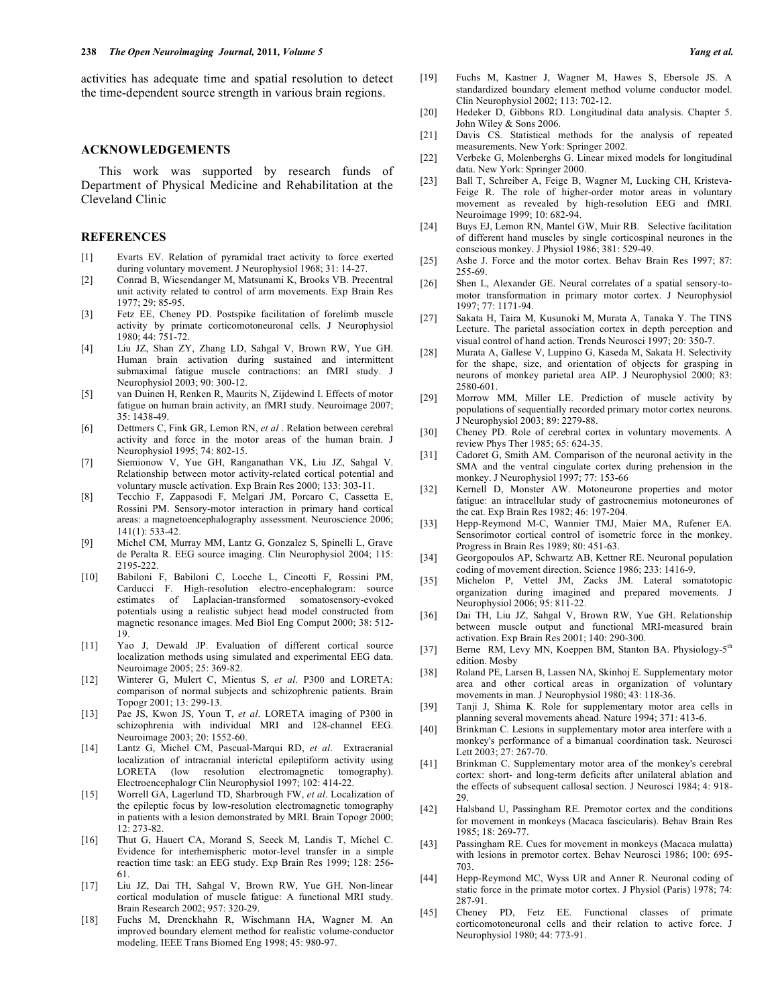activities has adequate time and spatial resolution to detect the time-dependent source strength in various brain regions.

#### **ACKNOWLEDGEMENTS**

This work was supported by research funds of Department of Physical Medicine and Rehabilitation at the Cleveland Clinic

#### **REFERENCES**

- [1] Evarts EV. Relation of pyramidal tract activity to force exerted during voluntary movement. J Neurophysiol 1968; 31: 14-27.
- [2] Conrad B, Wiesendanger M, Matsunami K, Brooks VB. Precentral unit activity related to control of arm movements. Exp Brain Res 1977; 29: 85-95.
- [3] Fetz EE, Cheney PD. Postspike facilitation of forelimb muscle activity by primate corticomotoneuronal cells. J Neurophysiol 1980; 44: 751-72.
- [4] Liu JZ, Shan ZY, Zhang LD, Sahgal V, Brown RW, Yue GH. Human brain activation during sustained and intermittent submaximal fatigue muscle contractions: an fMRI study. J Neurophysiol 2003; 90: 300-12.
- [5] van Duinen H, Renken R, Maurits N, Zijdewind I. Effects of motor fatigue on human brain activity, an fMRI study. Neuroimage 2007; 35: 1438-49.
- [6] Dettmers C, Fink GR, Lemon RN, *et al* . Relation between cerebral activity and force in the motor areas of the human brain. J Neurophysiol 1995; 74: 802-15.
- [7] Siemionow V, Yue GH, Ranganathan VK, Liu JZ, Sahgal V. Relationship between motor activity-related cortical potential and voluntary muscle activation. Exp Brain Res 2000; 133: 303-11.
- [8] Tecchio F, Zappasodi F, Melgari JM, Porcaro C, Cassetta E, Rossini PM. Sensory-motor interaction in primary hand cortical areas: a magnetoencephalography assessment. Neuroscience 2006; 141(1): 533-42.
- [9] Michel CM, Murray MM, Lantz G, Gonzalez S, Spinelli L, Grave de Peralta R. EEG source imaging. Clin Neurophysiol 2004; 115: 2195-222.
- [10] Babiloni F, Babiloni C, Locche L, Cincotti F, Rossini PM, Carducci F. High-resolution electro-encephalogram: source estimates of Laplacian-transformed somatosensory-evoked potentials using a realistic subject head model constructed from magnetic resonance images. Med Biol Eng Comput 2000; 38: 512- 19.
- [11] Yao J, Dewald JP. Evaluation of different cortical source localization methods using simulated and experimental EEG data. Neuroimage 2005; 25: 369-82.
- [12] Winterer G, Mulert C, Mientus S, *et al*. P300 and LORETA: comparison of normal subjects and schizophrenic patients. Brain Topogr 2001; 13: 299-13.
- [13] Pae JS, Kwon JS, Youn T, *et al*. LORETA imaging of P300 in schizophrenia with individual MRI and 128-channel EEG. Neuroimage 2003; 20: 1552-60.
- [14] Lantz G, Michel CM, Pascual-Marqui RD, *et al*. Extracranial localization of intracranial interictal epileptiform activity using LORETA (low resolution electromagnetic tomography). Electroencephalogr Clin Neurophysiol 1997; 102: 414-22.
- [15] Worrell GA, Lagerlund TD, Sharbrough FW, *et al*. Localization of the epileptic focus by low-resolution electromagnetic tomography in patients with a lesion demonstrated by MRI. Brain Topogr 2000; 12: 273-82.
- [16] Thut G, Hauert CA, Morand S, Seeck M, Landis T, Michel C. Evidence for interhemispheric motor-level transfer in a simple reaction time task: an EEG study. Exp Brain Res 1999; 128: 256- 61.
- [17] Liu JZ, Dai TH, Sahgal V, Brown RW, Yue GH. Non-linear cortical modulation of muscle fatigue: A functional MRI study. Brain Research 2002; 957: 320-29.
- [18] Fuchs M, Drenckhahn R, Wischmann HA, Wagner M. An improved boundary element method for realistic volume-conductor modeling. IEEE Trans Biomed Eng 1998; 45: 980-97.
- [19] Fuchs M, Kastner J, Wagner M, Hawes S, Ebersole JS. A standardized boundary element method volume conductor model. Clin Neurophysiol 2002; 113: 702-12.
- [20] Hedeker D, Gibbons RD. Longitudinal data analysis. Chapter 5. John Wiley & Sons 2006.
- [21] Davis CS. Statistical methods for the analysis of repeated measurements. New York: Springer 2002.
- [22] Verbeke G, Molenberghs G. Linear mixed models for longitudinal data. New York: Springer 2000.
- [23] Ball T, Schreiber A, Feige B, Wagner M, Lucking CH, Kristeva-Feige R. The role of higher-order motor areas in voluntary movement as revealed by high-resolution EEG and fMRI. Neuroimage 1999; 10: 682-94.
- [24] Buys EJ, Lemon RN, Mantel GW, Muir RB. Selective facilitation of different hand muscles by single corticospinal neurones in the conscious monkey. J Physiol 1986; 381: 529-49.
- [25] Ashe J. Force and the motor cortex. Behav Brain Res 1997; 87: 255-69.
- [26] Shen L, Alexander GE. Neural correlates of a spatial sensory-tomotor transformation in primary motor cortex. J Neurophysiol 1997; 77: 1171-94.
- [27] Sakata H, Taira M, Kusunoki M, Murata A, Tanaka Y. The TINS Lecture. The parietal association cortex in depth perception and visual control of hand action. Trends Neurosci 1997; 20: 350-7.
- [28] Murata A, Gallese V, Luppino G, Kaseda M, Sakata H. Selectivity for the shape, size, and orientation of objects for grasping in neurons of monkey parietal area AIP. J Neurophysiol 2000; 83: 2580-601.
- [29] Morrow MM, Miller LE. Prediction of muscle activity by populations of sequentially recorded primary motor cortex neurons. J Neurophysiol 2003; 89: 2279-88.
- [30] Cheney PD. Role of cerebral cortex in voluntary movements. A review Phys Ther 1985; 65: 624-35.
- [31] Cadoret G, Smith AM. Comparison of the neuronal activity in the SMA and the ventral cingulate cortex during prehension in the monkey. J Neurophysiol 1997; 77: 153-66
- [32] Kernell D, Monster AW. Motoneurone properties and motor fatigue: an intracellular study of gastrocnemius motoneurones of the cat. Exp Brain Res 1982; 46: 197-204.
- [33] Hepp-Reymond M-C, Wannier TMJ, Maier MA, Rufener EA. Sensorimotor cortical control of isometric force in the monkey. Progress in Brain Res 1989; 80: 451-63.
- [34] Georgopoulos AP, Schwartz AB, Kettner RE. Neuronal population coding of movement direction. Science 1986; 233: 1416-9.
- [35] Michelon P, Vettel JM, Zacks JM. Lateral somatotopic organization during imagined and prepared movements. J Neurophysiol 2006; 95: 811-22.
- [36] Dai TH, Liu JZ, Sahgal V, Brown RW, Yue GH. Relationship between muscle output and functional MRI-measured brain activation. Exp Brain Res 2001; 140: 290-300.
- [37] Berne RM, Levy MN, Koeppen BM, Stanton BA. Physiology-5<sup>th</sup> edition. Mosby
- [38] Roland PE, Larsen B, Lassen NA, Skinhoj E. Supplementary motor area and other cortical areas in organization of voluntary movements in man. J Neurophysiol 1980; 43: 118-36.
- [39] Tanji J, Shima K. Role for supplementary motor area cells in planning several movements ahead. Nature 1994; 371: 413-6.
- [40] Brinkman C. Lesions in supplementary motor area interfere with a monkey's performance of a bimanual coordination task. Neurosci Lett 2003; 27: 267-70.
- [41] Brinkman C. Supplementary motor area of the monkey's cerebral cortex: short- and long-term deficits after unilateral ablation and the effects of subsequent callosal section. J Neurosci 1984; 4: 918- 29.
- [42] Halsband U, Passingham RE. Premotor cortex and the conditions for movement in monkeys (Macaca fascicularis). Behav Brain Res 1985; 18: 269-77.
- [43] Passingham RE. Cues for movement in monkeys (Macaca mulatta) with lesions in premotor cortex. Behav Neurosci 1986; 100: 695- 703.
- [44] Hepp-Reymond MC, Wyss UR and Anner R. Neuronal coding of static force in the primate motor cortex. J Physiol (Paris) 1978; 74: 287-91.
- [45] Cheney PD, Fetz EE. Functional classes of primate corticomotoneuronal cells and their relation to active force. J Neurophysiol 1980; 44: 773-91.